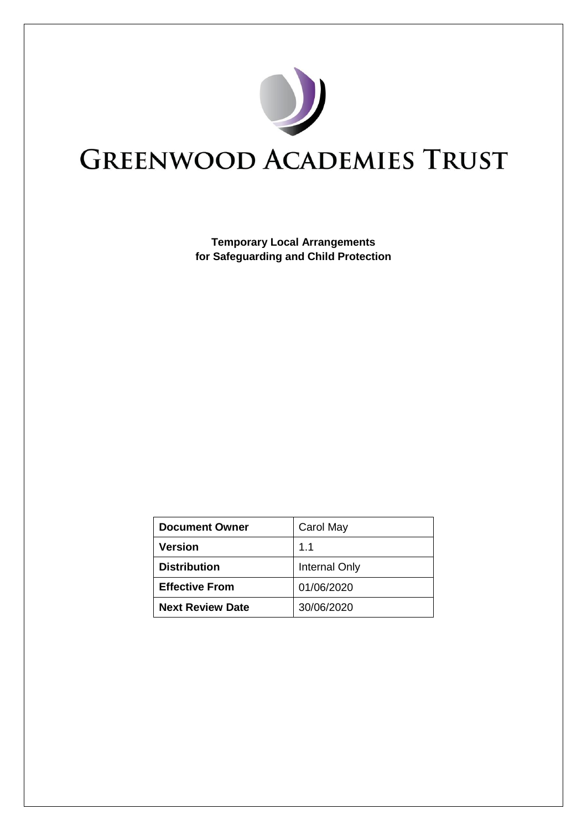

# **GREENWOOD ACADEMIES TRUST**

**Temporary Local Arrangements for Safeguarding and Child Protection**

| <b>Document Owner</b>   | Carol May     |
|-------------------------|---------------|
| Version                 | 1.1           |
| <b>Distribution</b>     | Internal Only |
| <b>Effective From</b>   | 01/06/2020    |
| <b>Next Review Date</b> | 30/06/2020    |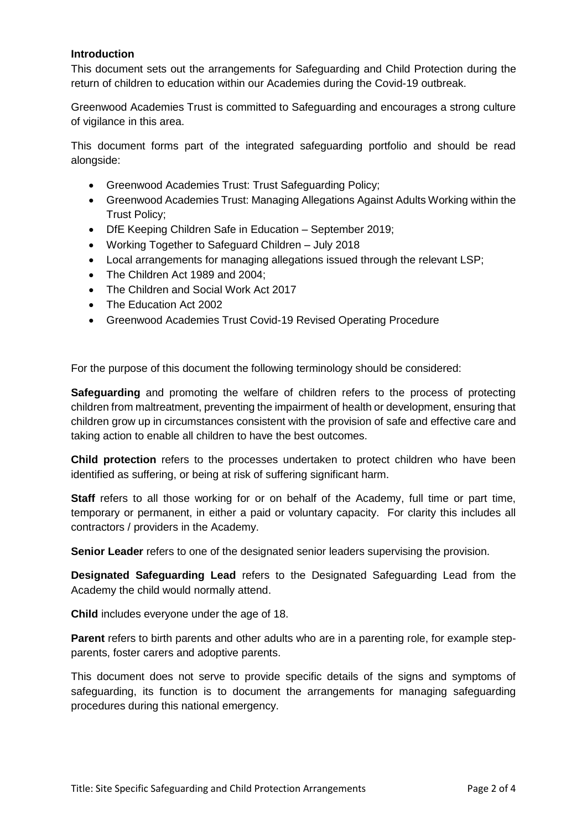## **Introduction**

This document sets out the arrangements for Safeguarding and Child Protection during the return of children to education within our Academies during the Covid-19 outbreak.

Greenwood Academies Trust is committed to Safeguarding and encourages a strong culture of vigilance in this area.

This document forms part of the integrated safeguarding portfolio and should be read alongside:

- Greenwood Academies Trust: Trust Safeguarding Policy;
- Greenwood Academies Trust: Managing Allegations Against Adults Working within the Trust Policy;
- DfE Keeping Children Safe in Education September 2019;
- Working Together to Safeguard Children July 2018
- Local arrangements for managing allegations issued through the relevant LSP;
- The Children Act 1989 and 2004;
- The Children and Social Work Act 2017
- The Education Act 2002
- Greenwood Academies Trust Covid-19 Revised Operating Procedure

For the purpose of this document the following terminology should be considered:

**Safeguarding** and promoting the welfare of children refers to the process of protecting children from maltreatment, preventing the impairment of health or development, ensuring that children grow up in circumstances consistent with the provision of safe and effective care and taking action to enable all children to have the best outcomes.

**Child protection** refers to the processes undertaken to protect children who have been identified as suffering, or being at risk of suffering significant harm.

**Staff** refers to all those working for or on behalf of the Academy, full time or part time, temporary or permanent, in either a paid or voluntary capacity. For clarity this includes all contractors / providers in the Academy.

**Senior Leader** refers to one of the designated senior leaders supervising the provision.

**Designated Safeguarding Lead** refers to the Designated Safeguarding Lead from the Academy the child would normally attend.

**Child** includes everyone under the age of 18.

**Parent** refers to birth parents and other adults who are in a parenting role, for example stepparents, foster carers and adoptive parents.

This document does not serve to provide specific details of the signs and symptoms of safeguarding, its function is to document the arrangements for managing safeguarding procedures during this national emergency.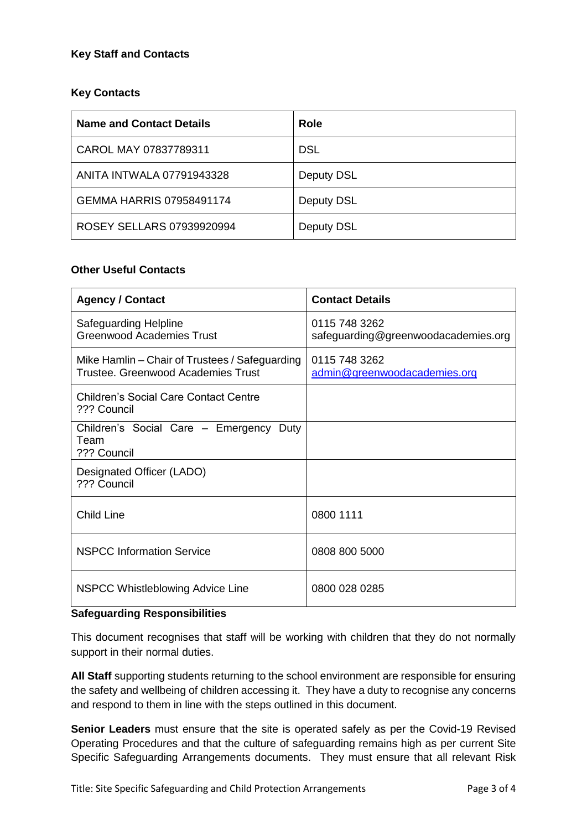# **Key Staff and Contacts**

# **Key Contacts**

| <b>Name and Contact Details</b>  | <b>Role</b> |
|----------------------------------|-------------|
| CAROL MAY 07837789311            | <b>DSL</b>  |
| ANITA INTWALA 07791943328        | Deputy DSL  |
| GEMMA HARRIS 07958491174         | Deputy DSL  |
| <b>ROSEY SELLARS 07939920994</b> | Deputy DSL  |

### **Other Useful Contacts**

| <b>Agency / Contact</b>                                                                     | <b>Contact Details</b>                               |
|---------------------------------------------------------------------------------------------|------------------------------------------------------|
| Safeguarding Helpline<br><b>Greenwood Academies Trust</b>                                   | 0115 748 3262<br>safeguarding@greenwoodacademies.org |
| Mike Hamlin – Chair of Trustees / Safeguarding<br><b>Trustee. Greenwood Academies Trust</b> | 0115 748 3262<br>admin@greenwoodacademies.org        |
| Children's Social Care Contact Centre<br>??? Council                                        |                                                      |
| Children's Social Care - Emergency Duty<br>Team<br>??? Council                              |                                                      |
| Designated Officer (LADO)<br>??? Council                                                    |                                                      |
| <b>Child Line</b>                                                                           | 0800 1111                                            |
| <b>NSPCC Information Service</b>                                                            | 0808 800 5000                                        |
| NSPCC Whistleblowing Advice Line                                                            | 0800 028 0285                                        |

#### **Safeguarding Responsibilities**

This document recognises that staff will be working with children that they do not normally support in their normal duties.

**All Staff** supporting students returning to the school environment are responsible for ensuring the safety and wellbeing of children accessing it. They have a duty to recognise any concerns and respond to them in line with the steps outlined in this document.

**Senior Leaders** must ensure that the site is operated safely as per the Covid-19 Revised Operating Procedures and that the culture of safeguarding remains high as per current Site Specific Safeguarding Arrangements documents. They must ensure that all relevant Risk